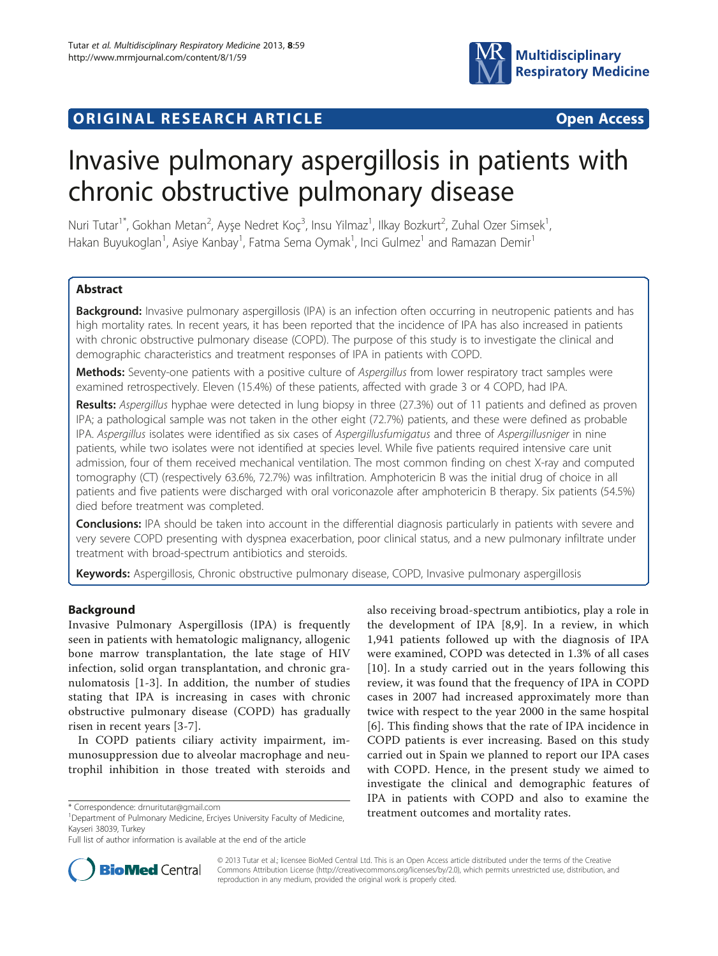

## **ORIGINAL RESEARCH ARTICLE CONSUMING ACCESS**

# Invasive pulmonary aspergillosis in patients with chronic obstructive pulmonary disease

Nuri Tutar<sup>1\*</sup>, Gokhan Metan<sup>2</sup>, Ayşe Nedret Koç<sup>3</sup>, Insu Yilmaz<sup>1</sup>, Ilkay Bozkurt<sup>2</sup>, Zuhal Ozer Simsek<sup>1</sup> , Hakan Buyukoglan<sup>1</sup>, Asiye Kanbay<sup>1</sup>, Fatma Sema Oymak<sup>1</sup>, Inci Gulmez<sup>1</sup> and Ramazan Demir<sup>1</sup>

## Abstract

Background: Invasive pulmonary aspergillosis (IPA) is an infection often occurring in neutropenic patients and has high mortality rates. In recent years, it has been reported that the incidence of IPA has also increased in patients with chronic obstructive pulmonary disease (COPD). The purpose of this study is to investigate the clinical and demographic characteristics and treatment responses of IPA in patients with COPD.

Methods: Seventy-one patients with a positive culture of Aspergillus from lower respiratory tract samples were examined retrospectively. Eleven (15.4%) of these patients, affected with grade 3 or 4 COPD, had IPA.

Results: Aspergillus hyphae were detected in lung biopsy in three (27.3%) out of 11 patients and defined as proven IPA; a pathological sample was not taken in the other eight (72.7%) patients, and these were defined as probable IPA. Aspergillus isolates were identified as six cases of Aspergillusfumigatus and three of Aspergillusniger in nine patients, while two isolates were not identified at species level. While five patients required intensive care unit admission, four of them received mechanical ventilation. The most common finding on chest X-ray and computed tomography (CT) (respectively 63.6%, 72.7%) was infiltration. Amphotericin B was the initial drug of choice in all patients and five patients were discharged with oral voriconazole after amphotericin B therapy. Six patients (54.5%) died before treatment was completed.

**Conclusions:** IPA should be taken into account in the differential diagnosis particularly in patients with severe and very severe COPD presenting with dyspnea exacerbation, poor clinical status, and a new pulmonary infiltrate under treatment with broad-spectrum antibiotics and steroids.

Keywords: Aspergillosis, Chronic obstructive pulmonary disease, COPD, Invasive pulmonary aspergillosis

## Background

Invasive Pulmonary Aspergillosis (IPA) is frequently seen in patients with hematologic malignancy, allogenic bone marrow transplantation, the late stage of HIV infection, solid organ transplantation, and chronic granulomatosis [\[1](#page-5-0)-[3](#page-5-0)]. In addition, the number of studies stating that IPA is increasing in cases with chronic obstructive pulmonary disease (COPD) has gradually risen in recent years [\[3](#page-5-0)-[7](#page-5-0)].

In COPD patients ciliary activity impairment, immunosuppression due to alveolar macrophage and neutrophil inhibition in those treated with steroids and

also receiving broad-spectrum antibiotics, play a role in the development of IPA [\[8](#page-5-0),[9\]](#page-5-0). In a review, in which 1,941 patients followed up with the diagnosis of IPA were examined, COPD was detected in 1.3% of all cases [[10](#page-5-0)]. In a study carried out in the years following this review, it was found that the frequency of IPA in COPD cases in 2007 had increased approximately more than twice with respect to the year 2000 in the same hospital [[6](#page-5-0)]. This finding shows that the rate of IPA incidence in COPD patients is ever increasing. Based on this study carried out in Spain we planned to report our IPA cases with COPD. Hence, in the present study we aimed to investigate the clinical and demographic features of IPA in patients with COPD and also to examine the \* Correspondence: [drnuritutar@gmail.com](mailto:drnuritutar@gmail.com)<br><sup>1</sup>Department of Pulmonary Medicine, Frcives University Eaculty of Medicine **1996 treatment outcomes and mortality rates.** 



© 2013 Tutar et al.; licensee BioMed Central Ltd. This is an Open Access article distributed under the terms of the Creative Commons Attribution License [\(http://creativecommons.org/licenses/by/2.0\)](http://creativecommons.org/licenses/by/2.0), which permits unrestricted use, distribution, and reproduction in any medium, provided the original work is properly cited.

<sup>&</sup>lt;sup>1</sup>Department of Pulmonary Medicine, Erciyes University Faculty of Medicine, Kayseri 38039, Turkey

Full list of author information is available at the end of the article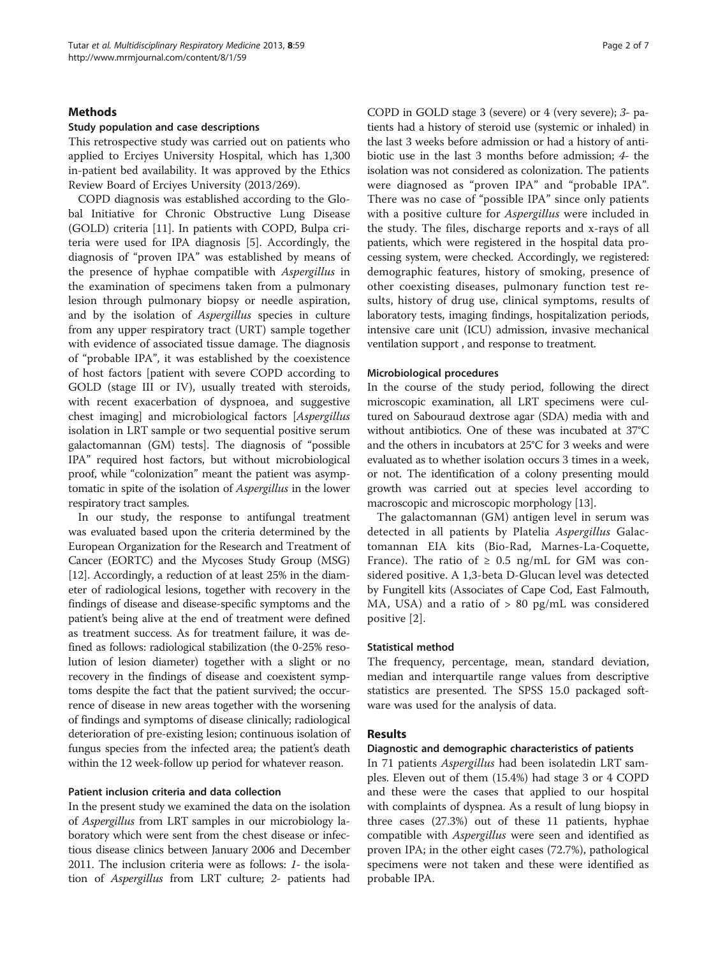#### **Methods**

#### Study population and case descriptions

This retrospective study was carried out on patients who applied to Erciyes University Hospital, which has 1,300 in-patient bed availability. It was approved by the Ethics Review Board of Erciyes University (2013/269).

COPD diagnosis was established according to the Global Initiative for Chronic Obstructive Lung Disease (GOLD) criteria [[11](#page-5-0)]. In patients with COPD, Bulpa criteria were used for IPA diagnosis [\[5](#page-5-0)]. Accordingly, the diagnosis of "proven IPA" was established by means of the presence of hyphae compatible with Aspergillus in the examination of specimens taken from a pulmonary lesion through pulmonary biopsy or needle aspiration, and by the isolation of Aspergillus species in culture from any upper respiratory tract (URT) sample together with evidence of associated tissue damage. The diagnosis of "probable IPA", it was established by the coexistence of host factors [patient with severe COPD according to GOLD (stage III or IV), usually treated with steroids, with recent exacerbation of dyspnoea, and suggestive chest imaging] and microbiological factors [Aspergillus isolation in LRT sample or two sequential positive serum galactomannan (GM) tests]. The diagnosis of "possible IPA" required host factors, but without microbiological proof, while "colonization" meant the patient was asymptomatic in spite of the isolation of Aspergillus in the lower respiratory tract samples.

In our study, the response to antifungal treatment was evaluated based upon the criteria determined by the European Organization for the Research and Treatment of Cancer (EORTC) and the Mycoses Study Group (MSG) [[12](#page-5-0)]. Accordingly, a reduction of at least 25% in the diameter of radiological lesions, together with recovery in the findings of disease and disease-specific symptoms and the patient's being alive at the end of treatment were defined as treatment success. As for treatment failure, it was defined as follows: radiological stabilization (the 0-25% resolution of lesion diameter) together with a slight or no recovery in the findings of disease and coexistent symptoms despite the fact that the patient survived; the occurrence of disease in new areas together with the worsening of findings and symptoms of disease clinically; radiological deterioration of pre-existing lesion; continuous isolation of fungus species from the infected area; the patient's death within the 12 week-follow up period for whatever reason.

#### Patient inclusion criteria and data collection

In the present study we examined the data on the isolation of Aspergillus from LRT samples in our microbiology laboratory which were sent from the chest disease or infectious disease clinics between January 2006 and December 2011. The inclusion criteria were as follows: 1- the isolation of Aspergillus from LRT culture; 2- patients had COPD in GOLD stage 3 (severe) or 4 (very severe); 3- patients had a history of steroid use (systemic or inhaled) in the last 3 weeks before admission or had a history of antibiotic use in the last 3 months before admission; 4- the isolation was not considered as colonization. The patients were diagnosed as "proven IPA" and "probable IPA". There was no case of "possible IPA" since only patients with a positive culture for Aspergillus were included in the study. The files, discharge reports and x-rays of all patients, which were registered in the hospital data processing system, were checked. Accordingly, we registered: demographic features, history of smoking, presence of other coexisting diseases, pulmonary function test results, history of drug use, clinical symptoms, results of laboratory tests, imaging findings, hospitalization periods, intensive care unit (ICU) admission, invasive mechanical ventilation support , and response to treatment.

#### Microbiological procedures

In the course of the study period, following the direct microscopic examination, all LRT specimens were cultured on Sabouraud dextrose agar (SDA) media with and without antibiotics. One of these was incubated at 37°C and the others in incubators at 25°C for 3 weeks and were evaluated as to whether isolation occurs 3 times in a week, or not. The identification of a colony presenting mould growth was carried out at species level according to macroscopic and microscopic morphology [\[13\]](#page-5-0).

The galactomannan (GM) antigen level in serum was detected in all patients by Platelia Aspergillus Galactomannan EIA kits (Bio-Rad, Marnes-La-Coquette, France). The ratio of  $\geq 0.5$  ng/mL for GM was considered positive. A 1,3-beta D-Glucan level was detected by Fungitell kits (Associates of Cape Cod, East Falmouth, MA, USA) and a ratio of > 80 pg/mL was considered positive [[2\]](#page-5-0).

#### Statistical method

The frequency, percentage, mean, standard deviation, median and interquartile range values from descriptive statistics are presented. The SPSS 15.0 packaged software was used for the analysis of data.

#### Results

#### Diagnostic and demographic characteristics of patients

In 71 patients Aspergillus had been isolatedin LRT samples. Eleven out of them (15.4%) had stage 3 or 4 COPD and these were the cases that applied to our hospital with complaints of dyspnea. As a result of lung biopsy in three cases (27.3%) out of these 11 patients, hyphae compatible with Aspergillus were seen and identified as proven IPA; in the other eight cases (72.7%), pathological specimens were not taken and these were identified as probable IPA.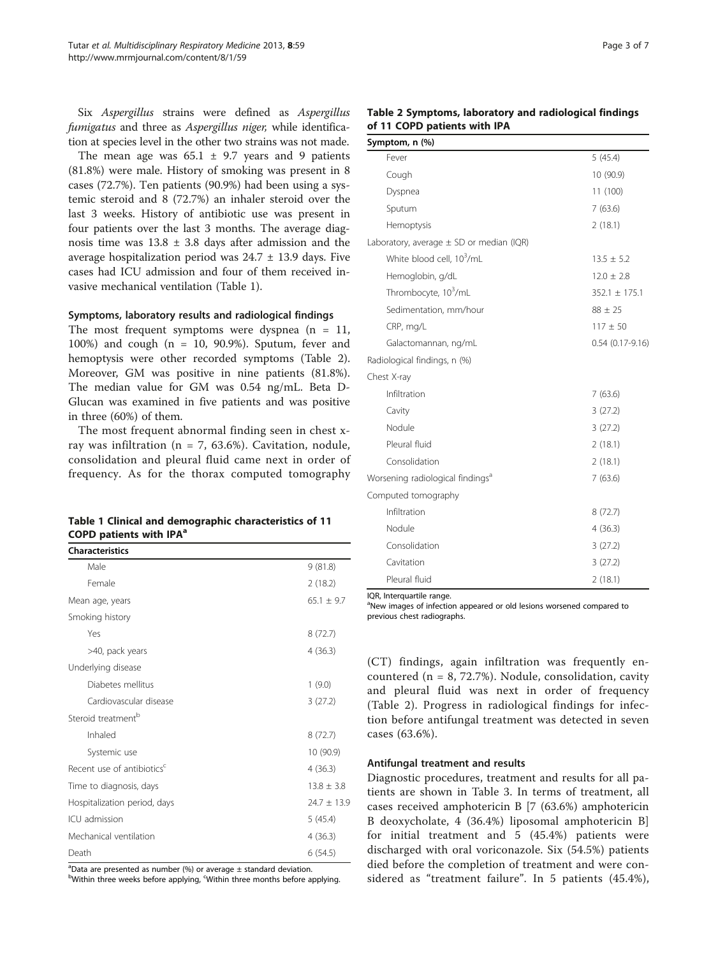Six Aspergillus strains were defined as Aspergillus fumigatus and three as Aspergillus niger, while identification at species level in the other two strains was not made.

The mean age was  $65.1 \pm 9.7$  years and 9 patients (81.8%) were male. History of smoking was present in 8 cases (72.7%). Ten patients (90.9%) had been using a systemic steroid and 8 (72.7%) an inhaler steroid over the last 3 weeks. History of antibiotic use was present in four patients over the last 3 months. The average diagnosis time was  $13.8 \pm 3.8$  days after admission and the average hospitalization period was  $24.7 \pm 13.9$  days. Five cases had ICU admission and four of them received invasive mechanical ventilation (Table 1).

#### Symptoms, laboratory results and radiological findings

The most frequent symptoms were dyspnea  $(n = 11,$ 100%) and cough (n = 10, 90.9%). Sputum, fever and hemoptysis were other recorded symptoms (Table 2). Moreover, GM was positive in nine patients (81.8%). The median value for GM was 0.54 ng/mL. Beta D-Glucan was examined in five patients and was positive in three (60%) of them.

The most frequent abnormal finding seen in chest xray was infiltration ( $n = 7, 63.6\%$ ). Cavitation, nodule, consolidation and pleural fluid came next in order of frequency. As for the thorax computed tomography

## Table 1 Clinical and demographic characteristics of 11 COPD patients with IPA<sup>a</sup>

| <b>Characteristics</b>                 |                 |
|----------------------------------------|-----------------|
| Male                                   | 9(81.8)         |
| Female                                 | 2(18.2)         |
| Mean age, years                        | $65.1 + 9.7$    |
| Smoking history                        |                 |
| Yes                                    | 8(72.7)         |
| >40, pack years                        | 4(36.3)         |
| Underlying disease                     |                 |
| Diabetes mellitus                      | 1(9.0)          |
| Cardiovascular disease                 | 3(27.2)         |
| Steroid treatment <sup>b</sup>         |                 |
| Inhaled                                | 8(72.7)         |
| Systemic use                           | 10 (90.9)       |
| Recent use of antibiotics <sup>c</sup> | 4(36.3)         |
| Time to diagnosis, days                | $13.8 + 3.8$    |
| Hospitalization period, days           | $24.7 \pm 13.9$ |
| ICU admission                          | 5(45.4)         |
| Mechanical ventilation                 | 4(36.3)         |
| Death                                  | 6(54.5)         |

 $^{\text{a}}$ Data are presented as number (%) or average  $\pm$  standard deviation.

bWithin three weeks before applying, <sup>c</sup>Within three months before applying.

| ΩŤ<br>Page |
|------------|
|------------|

#### Table 2 Symptoms, laboratory and radiological findings of 11 COPD patients with IPA

| Symptom, n (%)                               |                        |
|----------------------------------------------|------------------------|
| Fever                                        | 5(45.4)                |
| Cough                                        | 10 (90.9)              |
| Dyspnea                                      | 11 (100)               |
| Sputum                                       | 7(63.6)                |
| Hemoptysis                                   | 2(18.1)                |
| Laboratory, average $\pm$ SD or median (IQR) |                        |
| White blood cell, 10 <sup>3</sup> /mL        | $13.5 \pm 5.2$         |
| Hemoglobin, g/dL                             | $12.0 \pm 2.8$         |
| Thrombocyte, 10 <sup>3</sup> /mL             | $352.1 \pm 175.1$      |
| Sedimentation, mm/hour                       | $88 \pm 25$            |
| CRP, mg/L                                    | $117 \pm 50$           |
| Galactomannan, ng/mL                         | $0.54$ $(0.17 - 9.16)$ |
| Radiological findings, n (%)                 |                        |
| Chest X-ray                                  |                        |
| Infiltration                                 | 7(63.6)                |
| Cavity                                       | 3(27.2)                |
| Nodule                                       | 3(27.2)                |
| Pleural fluid                                | 2(18.1)                |
| Consolidation                                | 2(18.1)                |
| Worsening radiological findings <sup>a</sup> | 7(63.6)                |
| Computed tomography                          |                        |
| Infiltration                                 | 8(72.7)                |
| Nodule                                       | 4(36.3)                |
| Consolidation                                | 3(27.2)                |
| Cavitation                                   | 3(27.2)                |
| Pleural fluid                                | 2(18.1)                |

IQR, Interquartile range.

<sup>a</sup>New images of infection appeared or old lesions worsened compared to previous chest radiographs.

(CT) findings, again infiltration was frequently encountered (n = 8, 72.7%). Nodule, consolidation, cavity and pleural fluid was next in order of frequency (Table 2). Progress in radiological findings for infection before antifungal treatment was detected in seven cases (63.6%).

#### Antifungal treatment and results

Diagnostic procedures, treatment and results for all patients are shown in Table [3](#page-3-0). In terms of treatment, all cases received amphotericin B [7 (63.6%) amphotericin B deoxycholate, 4 (36.4%) liposomal amphotericin B] for initial treatment and 5 (45.4%) patients were discharged with oral voriconazole. Six (54.5%) patients died before the completion of treatment and were considered as "treatment failure". In 5 patients (45.4%),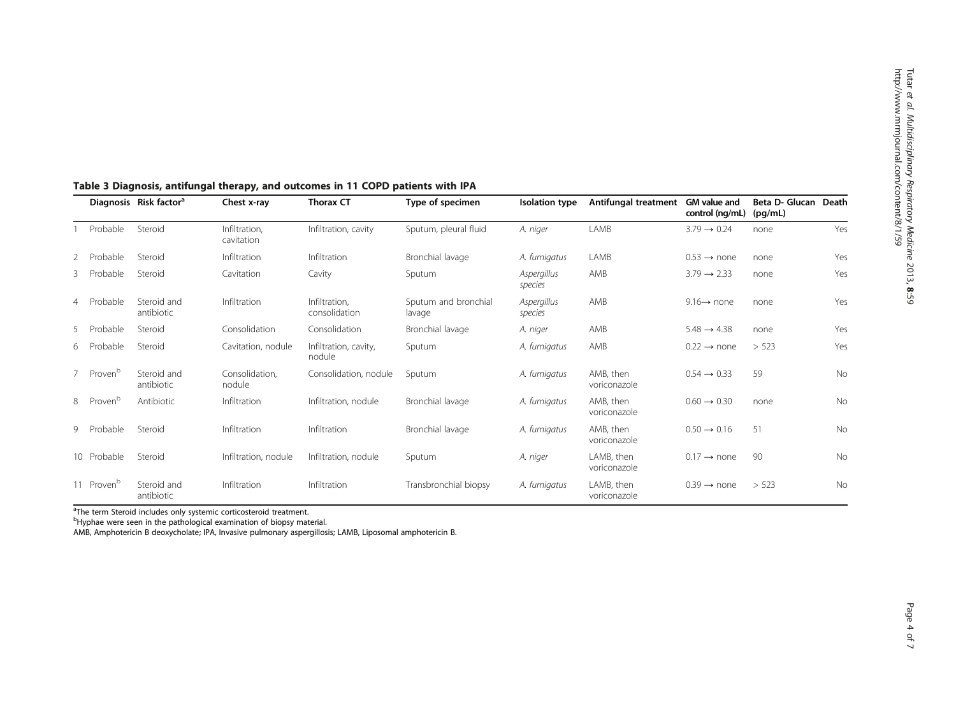|    |                        | Diagnosis Risk factor <sup>a</sup> | Chest x-ray                 | Thorax CT                       | Type of specimen               | Isolation type         | Antifungal treatment       | GM value and<br>control (ng/mL) | Beta D- Glucan<br>(pg/mL) | Death |
|----|------------------------|------------------------------------|-----------------------------|---------------------------------|--------------------------------|------------------------|----------------------------|---------------------------------|---------------------------|-------|
|    | Probable               | Steroid                            | Infiltration,<br>cavitation | Infiltration, cavity            | Sputum, pleural fluid          | A. niger               | LAMB                       | $3.79 \rightarrow 0.24$         | none                      | Yes   |
|    | 2 Probable             | Steroid                            | Infiltration                | Infiltration                    | Bronchial lavage               | A. fumigatus           | LAMB                       | $0.53 \rightarrow$ none         | none                      | Yes   |
|    | 3 Probable             | Steroid                            | Cavitation                  | Cavity                          | Sputum                         | Aspergillus<br>species | AMB                        | $3.79 \rightarrow 2.33$         | none                      | Yes   |
|    | 4 Probable             | Steroid and<br>antibiotic          | Infiltration                | Infiltration.<br>consolidation  | Sputum and bronchial<br>lavage | Aspergillus<br>species | AMB                        | $9.16 \rightarrow$ none         | none                      | Yes   |
|    | 5 Probable             | Steroid                            | Consolidation               | Consolidation                   | Bronchial lavage               | A. niger               | AMB                        | $5.48 \rightarrow 4.38$         | none                      | Yes   |
| 6. | Probable               | Steroid                            | Cavitation, nodule          | Infiltration, cavity,<br>nodule | Sputum                         | A. fumigatus           | AMB                        | $0.22 \rightarrow$ none         | > 523                     | Yes   |
|    | Proven <sup>b</sup>    | Steroid and<br>antibiotic          | Consolidation,<br>nodule    | Consolidation, nodule           | Sputum                         | A. fumigatus           | AMB, then<br>voriconazole  | $0.54 \rightarrow 0.33$         | 59                        | No    |
|    | 8 Proven <sup>b</sup>  | Antibiotic                         | Infiltration                | Infiltration, nodule            | Bronchial lavage               | A. fumigatus           | AMB, then<br>voriconazole  | $0.60 \rightarrow 0.30$         | none                      | No    |
|    | 9 Probable             | Steroid                            | Infiltration                | Infiltration                    | Bronchial lavage               | A. fumigatus           | AMB, then<br>voriconazole  | $0.50 \rightarrow 0.16$         | 51                        | No    |
|    | 10 Probable            | Steroid                            | Infiltration, nodule        | Infiltration, nodule            | Sputum                         | A. niger               | LAMB, then<br>voriconazole | $0.17 \rightarrow$ none         | 90                        | No    |
|    | 11 Proven <sup>b</sup> | Steroid and<br>antibiotic          | Infiltration                | Infiltration                    | Transbronchial biopsy          | A. fumigatus           | LAMB, then<br>voriconazole | $0.39 \rightarrow$ none         | > 523                     | No    |

## <span id="page-3-0"></span>Table 3 Diagnosis, antifungal therapy, and outcomes in 11 COPD patients with IPA

<sup>a</sup>The term Steroid includes only systemic corticosteroid treatment.

<sup>b</sup>Hyphae were seen in the pathological examination of biopsy material.

AMB, Amphotericin B deoxycholate; IPA, Invasive pulmonary aspergillosis; LAMB, Liposomal amphotericin B.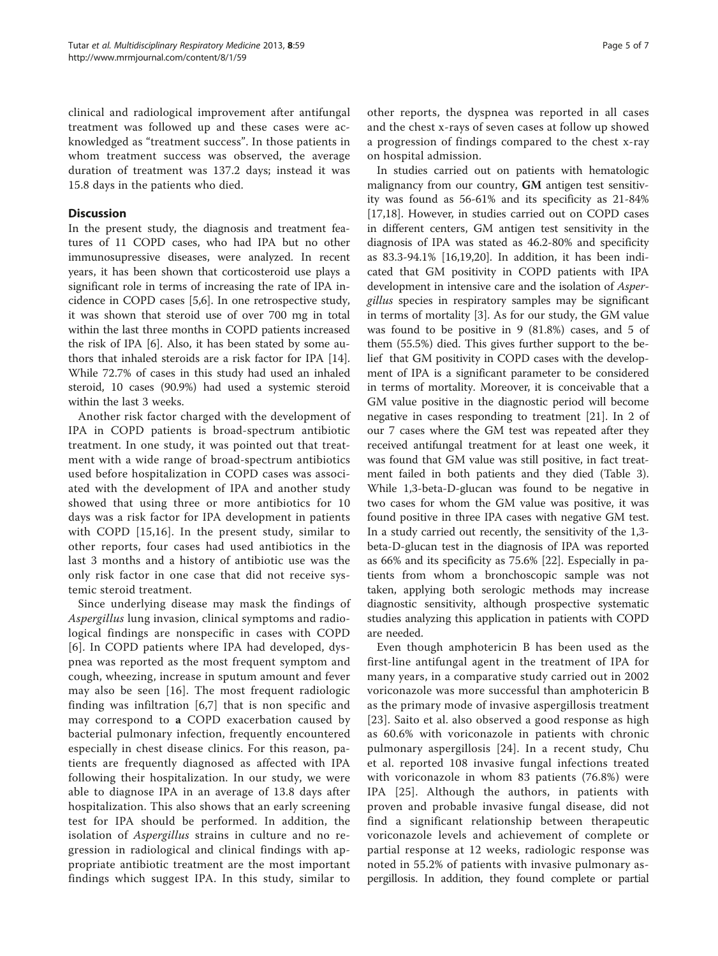clinical and radiological improvement after antifungal treatment was followed up and these cases were acknowledged as "treatment success". In those patients in whom treatment success was observed, the average duration of treatment was 137.2 days; instead it was 15.8 days in the patients who died.

## **Discussion**

In the present study, the diagnosis and treatment features of 11 COPD cases, who had IPA but no other immunosupressive diseases, were analyzed. In recent years, it has been shown that corticosteroid use plays a significant role in terms of increasing the rate of IPA incidence in COPD cases [[5,6\]](#page-5-0). In one retrospective study, it was shown that steroid use of over 700 mg in total within the last three months in COPD patients increased the risk of IPA [[6\]](#page-5-0). Also, it has been stated by some authors that inhaled steroids are a risk factor for IPA [\[14](#page-5-0)]. While 72.7% of cases in this study had used an inhaled steroid, 10 cases (90.9%) had used a systemic steroid within the last 3 weeks.

Another risk factor charged with the development of IPA in COPD patients is broad-spectrum antibiotic treatment. In one study, it was pointed out that treatment with a wide range of broad-spectrum antibiotics used before hospitalization in COPD cases was associated with the development of IPA and another study showed that using three or more antibiotics for 10 days was a risk factor for IPA development in patients with COPD [[15](#page-5-0),[16\]](#page-5-0). In the present study, similar to other reports, four cases had used antibiotics in the last 3 months and a history of antibiotic use was the only risk factor in one case that did not receive systemic steroid treatment.

Since underlying disease may mask the findings of Aspergillus lung invasion, clinical symptoms and radiological findings are nonspecific in cases with COPD [[6](#page-5-0)]. In COPD patients where IPA had developed, dyspnea was reported as the most frequent symptom and cough, wheezing, increase in sputum amount and fever may also be seen [[16](#page-5-0)]. The most frequent radiologic finding was infiltration [[6,7\]](#page-5-0) that is non specific and may correspond to a COPD exacerbation caused by bacterial pulmonary infection, frequently encountered especially in chest disease clinics. For this reason, patients are frequently diagnosed as affected with IPA following their hospitalization. In our study, we were able to diagnose IPA in an average of 13.8 days after hospitalization. This also shows that an early screening test for IPA should be performed. In addition, the isolation of Aspergillus strains in culture and no regression in radiological and clinical findings with appropriate antibiotic treatment are the most important findings which suggest IPA. In this study, similar to other reports, the dyspnea was reported in all cases and the chest x-rays of seven cases at follow up showed a progression of findings compared to the chest x-ray on hospital admission.

In studies carried out on patients with hematologic malignancy from our country, GM antigen test sensitivity was found as 56-61% and its specificity as 21-84% [[17,18\]](#page-5-0). However, in studies carried out on COPD cases in different centers, GM antigen test sensitivity in the diagnosis of IPA was stated as 46.2-80% and specificity as 83.3-94.1% [[16,19,20](#page-5-0)]. In addition, it has been indicated that GM positivity in COPD patients with IPA development in intensive care and the isolation of Aspergillus species in respiratory samples may be significant in terms of mortality [\[3](#page-5-0)]. As for our study, the GM value was found to be positive in 9 (81.8%) cases, and 5 of them (55.5%) died. This gives further support to the belief that GM positivity in COPD cases with the development of IPA is a significant parameter to be considered in terms of mortality. Moreover, it is conceivable that a GM value positive in the diagnostic period will become negative in cases responding to treatment [\[21](#page-5-0)]. In 2 of our 7 cases where the GM test was repeated after they received antifungal treatment for at least one week, it was found that GM value was still positive, in fact treatment failed in both patients and they died (Table [3](#page-3-0)). While 1,3-beta-D-glucan was found to be negative in two cases for whom the GM value was positive, it was found positive in three IPA cases with negative GM test. In a study carried out recently, the sensitivity of the 1,3 beta-D-glucan test in the diagnosis of IPA was reported as 66% and its specificity as 75.6% [[22](#page-5-0)]. Especially in patients from whom a bronchoscopic sample was not taken, applying both serologic methods may increase diagnostic sensitivity, although prospective systematic studies analyzing this application in patients with COPD are needed.

Even though amphotericin B has been used as the first-line antifungal agent in the treatment of IPA for many years, in a comparative study carried out in 2002 voriconazole was more successful than amphotericin B as the primary mode of invasive aspergillosis treatment [[23](#page-5-0)]. Saito et al. also observed a good response as high as 60.6% with voriconazole in patients with chronic pulmonary aspergillosis [\[24\]](#page-6-0). In a recent study, Chu et al. reported 108 invasive fungal infections treated with voriconazole in whom 83 patients (76.8%) were IPA [[25](#page-6-0)]. Although the authors, in patients with proven and probable invasive fungal disease, did not find a significant relationship between therapeutic voriconazole levels and achievement of complete or partial response at 12 weeks, radiologic response was noted in 55.2% of patients with invasive pulmonary aspergillosis. In addition, they found complete or partial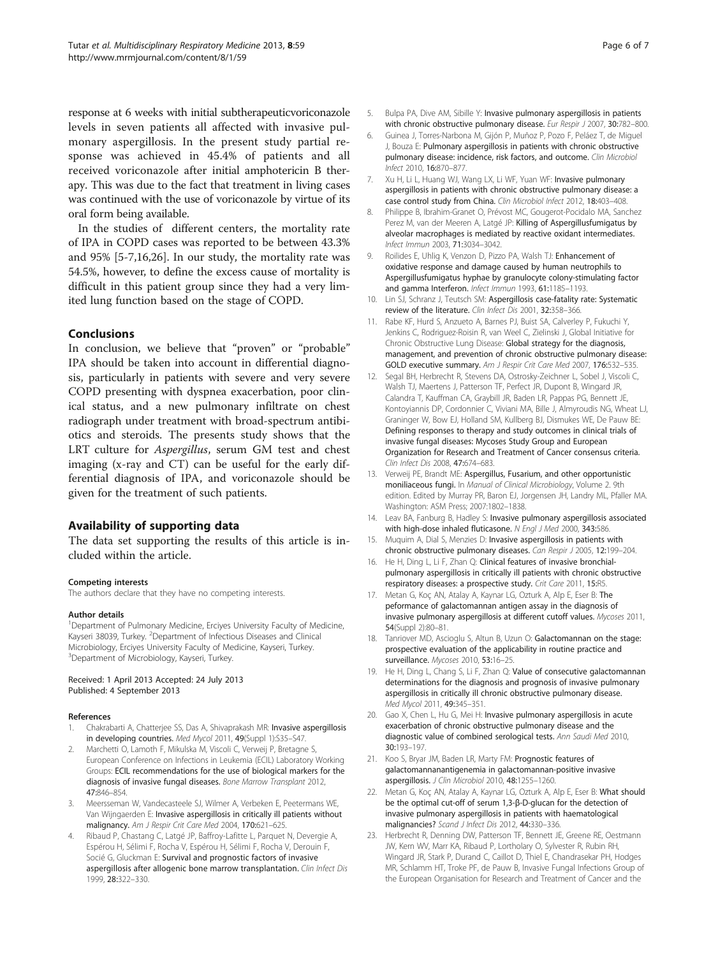<span id="page-5-0"></span>response at 6 weeks with initial subtherapeuticvoriconazole levels in seven patients all affected with invasive pulmonary aspergillosis. In the present study partial response was achieved in 45.4% of patients and all received voriconazole after initial amphotericin B therapy. This was due to the fact that treatment in living cases was continued with the use of voriconazole by virtue of its oral form being available.

In the studies of different centers, the mortality rate of IPA in COPD cases was reported to be between 43.3% and 95% [5-7,16[,26](#page-6-0)]. In our study, the mortality rate was 54.5%, however, to define the excess cause of mortality is difficult in this patient group since they had a very limited lung function based on the stage of COPD.

#### Conclusions

In conclusion, we believe that "proven" or "probable" IPA should be taken into account in differential diagnosis, particularly in patients with severe and very severe COPD presenting with dyspnea exacerbation, poor clinical status, and a new pulmonary infiltrate on chest radiograph under treatment with broad-spectrum antibiotics and steroids. The presents study shows that the LRT culture for Aspergillus, serum GM test and chest imaging (x-ray and CT) can be useful for the early differential diagnosis of IPA, and voriconazole should be given for the treatment of such patients.

## Availability of supporting data

The data set supporting the results of this article is included within the article.

#### Competing interests

The authors declare that they have no competing interests.

#### Author details

<sup>1</sup>Department of Pulmonary Medicine, Erciyes University Faculty of Medicine, Kayseri 38039, Turkey. <sup>2</sup>Department of Infectious Diseases and Clinical Microbiology, Erciyes University Faculty of Medicine, Kayseri, Turkey. <sup>3</sup>Department of Microbiology, Kayseri, Turkey.

#### Received: 1 April 2013 Accepted: 24 July 2013 Published: 4 September 2013

#### References

- 1. Chakrabarti A, Chatterjee SS, Das A, Shivaprakash MR: Invasive aspergillosis in developing countries. Med Mycol 2011, 49(Suppl 1):S35–S47.
- 2. Marchetti O, Lamoth F, Mikulska M, Viscoli C, Verweij P, Bretagne S, European Conference on Infections in Leukemia (ECIL) Laboratory Working Groups: ECIL recommendations for the use of biological markers for the diagnosis of invasive fungal diseases. Bone Marrow Transplant 2012, 47:846–854.
- 3. Meersseman W, Vandecasteele SJ, Wilmer A, Verbeken E, Peetermans WE, Van Wijngaerden E: Invasive aspergillosis in critically ill patients without malignancy. Am J Respir Crit Care Med 2004, 170:621-625.
- 4. Ribaud P, Chastang C, Latgé JP, Baffroy-Lafitte L, Parquet N, Devergie A, Espérou H, Sélimi F, Rocha V, Espérou H, Sélimi F, Rocha V, Derouin F, Socié G, Gluckman E: Survival and prognostic factors of invasive aspergillosis after allogenic bone marrow transplantation. Clin Infect Dis 1999, 28:322–330.
- 5. Bulpa PA, Dive AM, Sibille Y: Invasive pulmonary aspergillosis in patients with chronic obstructive pulmonary disease. Eur Respir J 2007, 30:782-800.
- 6. Guinea J, Torres-Narbona M, Gijón P, Muñoz P, Pozo F, Peláez T, de Miguel J, Bouza E: Pulmonary aspergillosis in patients with chronic obstructive pulmonary disease: incidence, risk factors, and outcome. Clin Microbiol Infect 2010, 16:870–877.
- 7. Xu H, Li L, Huang WJ, Wang LX, Li WF, Yuan WF: Invasive pulmonarv aspergillosis in patients with chronic obstructive pulmonary disease: a case control study from China. Clin Microbiol Infect 2012, 18:403–408.
- 8. Philippe B, Ibrahim-Granet O, Prévost MC, Gougerot-Pocidalo MA, Sanchez Perez M, van der Meeren A, Latgé JP: Killing of Aspergillusfumigatus by alveolar macrophages is mediated by reactive oxidant intermediates. Infect Immun 2003, 71:3034–3042.
- 9. Roilides E, Uhlig K, Venzon D, Pizzo PA, Walsh TJ: Enhancement of oxidative response and damage caused by human neutrophils to Aspergillusfumigatus hyphae by granulocyte colony-stimulating factor and gamma Interferon. Infect Immun 1993, 61:1185–1193.
- 10. Lin SJ, Schranz J, Teutsch SM: Aspergillosis case-fatality rate: Systematic review of the literature. Clin Infect Dis 2001, 32:358–366.
- 11. Rabe KF, Hurd S, Anzueto A, Barnes PJ, Buist SA, Calverley P, Fukuchi Y, Jenkins C, Rodriguez-Roisin R, van Weel C, Zielinski J, Global Initiative for Chronic Obstructive Lung Disease: Global strategy for the diagnosis, management, and prevention of chronic obstructive pulmonary disease: GOLD executive summary. Am J Respir Crit Care Med 2007, 176:532-535.
- 12. Segal BH, Herbrecht R, Stevens DA, Ostrosky-Zeichner L, Sobel J, Viscoli C, Walsh TJ, Maertens J, Patterson TF, Perfect JR, Dupont B, Wingard JR, Calandra T, Kauffman CA, Graybill JR, Baden LR, Pappas PG, Bennett JE, Kontoyiannis DP, Cordonnier C, Viviani MA, Bille J, Almyroudis NG, Wheat LJ, Graninger W, Bow EJ, Holland SM, Kullberg BJ, Dismukes WE, De Pauw BE: Defining responses to therapy and study outcomes in clinical trials of invasive fungal diseases: Mycoses Study Group and European Organization for Research and Treatment of Cancer consensus criteria. Clin Infect Dis 2008, 47:674–683.
- 13. Verweij PE, Brandt ME: Aspergillus, Fusarium, and other opportunistic moniliaceous fungi. In Manual of Clinical Microbiology, Volume 2, 9th edition. Edited by Murray PR, Baron EJ, Jorgensen JH, Landry ML, Pfaller MA. Washington: ASM Press; 2007:1802–1838.
- 14. Leav BA, Fanburg B, Hadley S: Invasive pulmonary aspergillosis associated with high-dose inhaled fluticasone. N Engl J Med 2000, 343:586
- 15. Muquim A, Dial S, Menzies D: Invasive aspergillosis in patients with chronic obstructive pulmonary diseases. Can Respir J 2005, 12:199–204.
- 16. He H, Ding L, Li F, Zhan Q: Clinical features of invasive bronchialpulmonary aspergillosis in critically ill patients with chronic obstructive respiratory diseases: a prospective study. Crit Care 2011, 15:R5.
- 17. Metan G, Koç AN, Atalay A, Kaynar LG, Ozturk A, Alp E, Eser B: The peformance of galactomannan antigen assay in the diagnosis of invasive pulmonary aspergillosis at different cutoff values. Mycoses 2011, 54(Suppl 2):80–81.
- 18. Tanriover MD, Ascioglu S, Altun B, Uzun O: Galactomannan on the stage: prospective evaluation of the applicability in routine practice and surveillance. Mycoses 2010, 53:16-25.
- 19. He H, Ding L, Chang S, Li F, Zhan Q: Value of consecutive galactomannan determinations for the diagnosis and prognosis of invasive pulmonary aspergillosis in critically ill chronic obstructive pulmonary disease. Med Mycol 2011, 49:345–351.
- 20. Gao X, Chen L, Hu G, Mei H: Invasive pulmonary aspergillosis in acute exacerbation of chronic obstructive pulmonary disease and the diagnostic value of combined serological tests. Ann Saudi Med 2010, 30:193–197.
- 21. Koo S, Bryar JM, Baden LR, Marty FM: Prognostic features of galactomannanantigenemia in galactomannan-positive invasive aspergillosis. J Clin Microbiol 2010, 48:1255–1260.
- 22. Metan G, Koç AN, Atalay A, Kaynar LG, Ozturk A, Alp E, Eser B: What should be the optimal cut-off of serum 1,3-β-D-glucan for the detection of invasive pulmonary aspergillosis in patients with haematological malignancies? Scand J Infect Dis 2012, 44:330–336.
- 23. Herbrecht R, Denning DW, Patterson TF, Bennett JE, Greene RE, Oestmann JW, Kern WV, Marr KA, Ribaud P, Lortholary O, Sylvester R, Rubin RH, Wingard JR, Stark P, Durand C, Caillot D, Thiel E, Chandrasekar PH, Hodges MR, Schlamm HT, Troke PF, de Pauw B, Invasive Fungal Infections Group of the European Organisation for Research and Treatment of Cancer and the